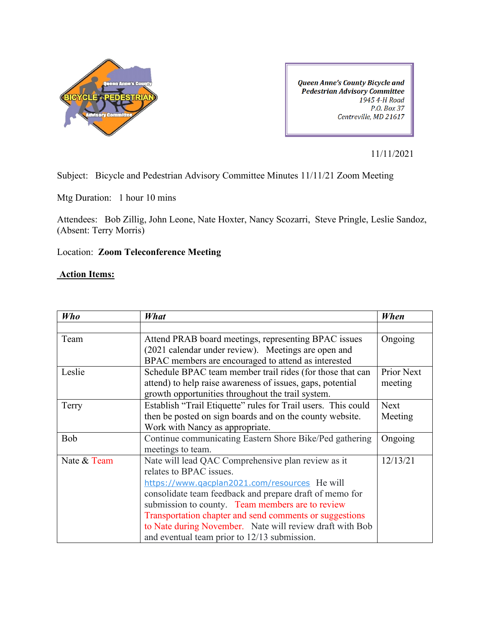

**Queen Anne's County Bicycle and Pedestrian Advisory Committee** 1945 4-H Road P.O. Box 37 Centreville, MD 21617

11/11/2021

Subject: Bicycle and Pedestrian Advisory Committee Minutes 11/11/21 Zoom Meeting

Mtg Duration: 1 hour 10 mins

Attendees: Bob Zillig, John Leone, Nate Hoxter, Nancy Scozarri, Steve Pringle, Leslie Sandoz, (Absent: Terry Morris)

## Location: **Zoom Teleconference Meeting**

## **Action Items:**

| <b>Who</b>  | What                                                          | When        |
|-------------|---------------------------------------------------------------|-------------|
|             |                                                               |             |
| Team        | Attend PRAB board meetings, representing BPAC issues          | Ongoing     |
|             | (2021 calendar under review). Meetings are open and           |             |
|             | BPAC members are encouraged to attend as interested           |             |
| Leslie      | Schedule BPAC team member trail rides (for those that can     | Prior Next  |
|             | attend) to help raise awareness of issues, gaps, potential    | meeting     |
|             | growth opportunities throughout the trail system.             |             |
| Terry       | Establish "Trail Etiquette" rules for Trail users. This could | <b>Next</b> |
|             | then be posted on sign boards and on the county website.      | Meeting     |
|             | Work with Nancy as appropriate.                               |             |
| Bob         | Continue communicating Eastern Shore Bike/Ped gathering       | Ongoing     |
|             | meetings to team.                                             |             |
| Nate & Team | Nate will lead QAC Comprehensive plan review as it            | 12/13/21    |
|             | relates to BPAC issues.                                       |             |
|             | https://www.qacplan2021.com/resources He will                 |             |
|             | consolidate team feedback and prepare draft of memo for       |             |
|             | submission to county. Team members are to review              |             |
|             | Transportation chapter and send comments or suggestions       |             |
|             | to Nate during November. Nate will review draft with Bob      |             |
|             | and eventual team prior to 12/13 submission.                  |             |